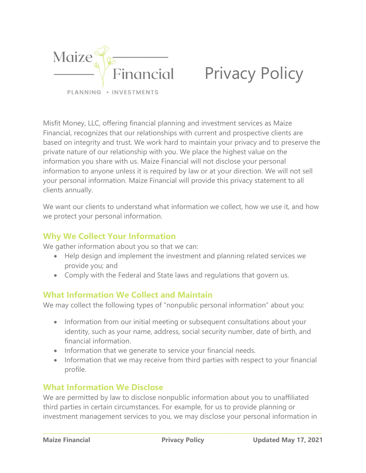

# Privacy Policy

Misfit Money, LLC, offering financial planning and investment services as Maize Financial, recognizes that our relationships with current and prospective clients are based on integrity and trust. We work hard to maintain your privacy and to preserve the private nature of our relationship with you. We place the highest value on the information you share with us. Maize Financial will not disclose your personal information to anyone unless it is required by law or at your direction. We will not sell your personal information. Maize Financial will provide this privacy statement to all clients annually.

We want our clients to understand what information we collect, how we use it, and how we protect your personal information.

### Why We Collect Your Information

We gather information about you so that we can:

- Help design and implement the investment and planning related services we provide you; and
- Comply with the Federal and State laws and regulations that govern us.

### What Information We Collect and Maintain

We may collect the following types of "nonpublic personal information" about you:

- Information from our initial meeting or subsequent consultations about your identity, such as your name, address, social security number, date of birth, and financial information.
- Information that we generate to service your financial needs.
- Information that we may receive from third parties with respect to your financial profile.

## What Information We Disclose

We are permitted by law to disclose nonpublic information about you to unaffiliated third parties in certain circumstances. For example, for us to provide planning or investment management services to you, we may disclose your personal information in